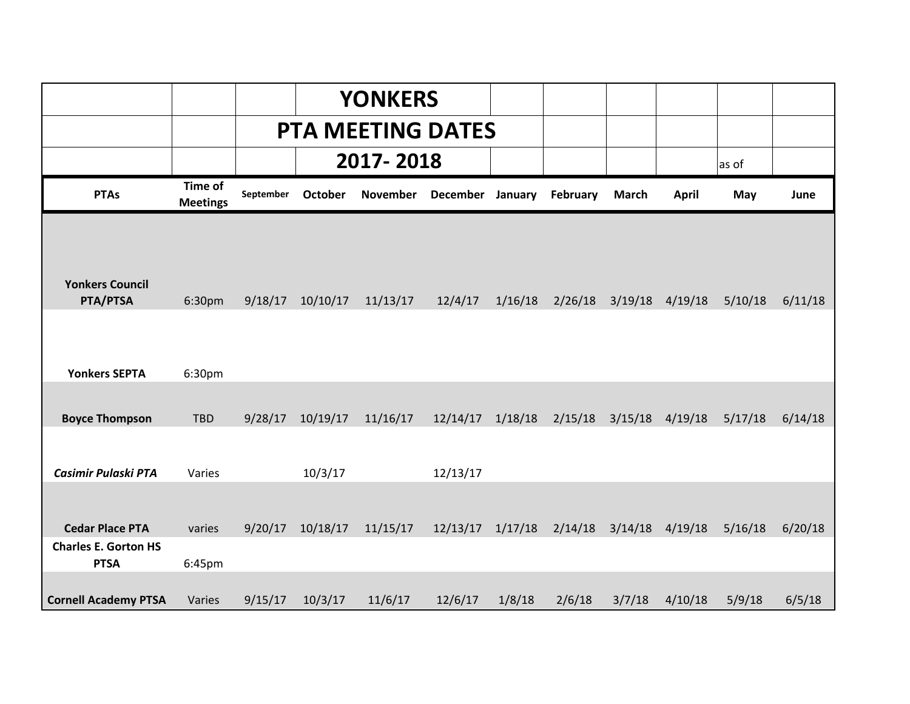|                                    |                            |           |                | <b>YONKERS</b>           |                           |         |          |                         |                     |         |         |
|------------------------------------|----------------------------|-----------|----------------|--------------------------|---------------------------|---------|----------|-------------------------|---------------------|---------|---------|
|                                    |                            |           |                | <b>PTA MEETING DATES</b> |                           |         |          |                         |                     |         |         |
|                                    |                            |           |                | 2017-2018                |                           |         |          |                         |                     | as of   |         |
| <b>PTAs</b>                        | Time of<br><b>Meetings</b> | September | <b>October</b> |                          | November December January |         | February | <b>March</b>            | <b>April</b>        | May     | June    |
|                                    |                            |           |                |                          |                           |         |          |                         |                     |         |         |
|                                    |                            |           |                |                          |                           |         |          |                         |                     |         |         |
| <b>Yonkers Council</b><br>PTA/PTSA | 6:30pm                     | 9/18/17   | 10/10/17       | 11/13/17                 | 12/4/17                   | 1/16/18 |          | 2/26/18 3/19/18 4/19/18 |                     | 5/10/18 | 6/11/18 |
|                                    |                            |           |                |                          |                           |         |          |                         |                     |         |         |
|                                    |                            |           |                |                          |                           |         |          |                         |                     |         |         |
| <b>Yonkers SEPTA</b>               | 6:30pm                     |           |                |                          |                           |         |          |                         |                     |         |         |
|                                    |                            |           |                |                          |                           |         |          |                         |                     |         |         |
| <b>Boyce Thompson</b>              | <b>TBD</b>                 | 9/28/17   | 10/19/17       | 11/16/17                 | 12/14/17                  | 1/18/18 | 2/15/18  |                         | $3/15/18$ $4/19/18$ | 5/17/18 | 6/14/18 |
|                                    |                            |           |                |                          |                           |         |          |                         |                     |         |         |
| Casimir Pulaski PTA                | Varies                     |           | 10/3/17        |                          | 12/13/17                  |         |          |                         |                     |         |         |
|                                    |                            |           |                |                          |                           |         |          |                         |                     |         |         |
| <b>Cedar Place PTA</b>             | varies                     | 9/20/17   | 10/18/17       | 11/15/17                 | 12/13/17                  | 1/17/18 | 2/14/18  | $3/14/18$ $4/19/18$     |                     | 5/16/18 | 6/20/18 |
| <b>Charles E. Gorton HS</b>        |                            |           |                |                          |                           |         |          |                         |                     |         |         |
| <b>PTSA</b>                        | 6:45pm                     |           |                |                          |                           |         |          |                         |                     |         |         |
| <b>Cornell Academy PTSA</b>        | Varies                     | 9/15/17   | 10/3/17        | 11/6/17                  | 12/6/17                   | 1/8/18  | 2/6/18   | 3/7/18                  | 4/10/18             | 5/9/18  | 6/5/18  |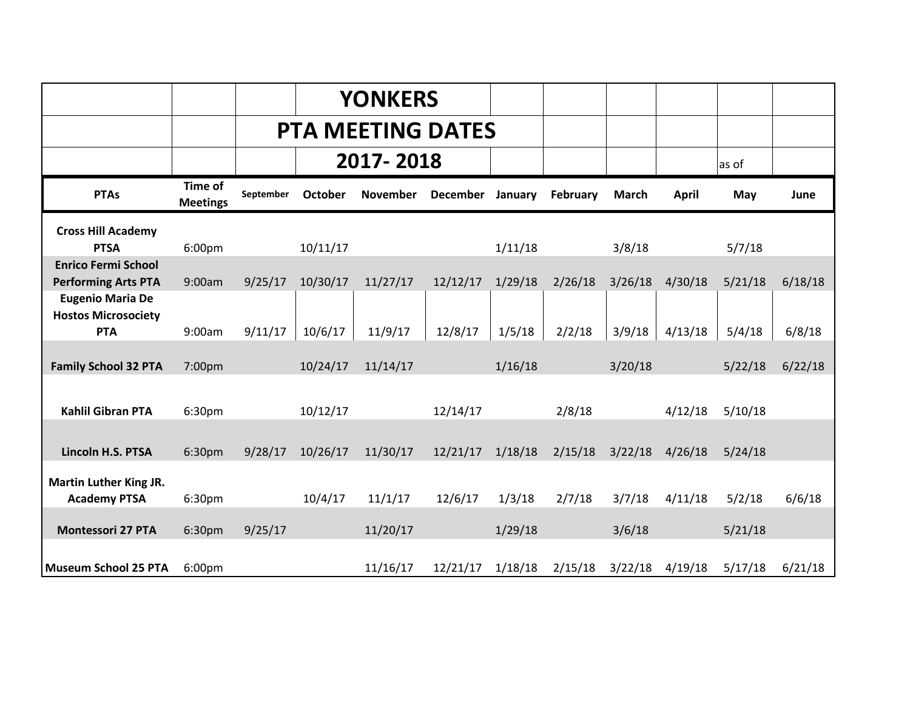|                                                                     |                            |           |                | <b>YONKERS</b>           |                 |         |          |              |              |           |         |
|---------------------------------------------------------------------|----------------------------|-----------|----------------|--------------------------|-----------------|---------|----------|--------------|--------------|-----------|---------|
|                                                                     |                            |           |                | <b>PTA MEETING DATES</b> |                 |         |          |              |              |           |         |
|                                                                     |                            |           |                | 2017-2018                |                 |         |          |              |              | $ $ as of |         |
| <b>PTAs</b>                                                         | Time of<br><b>Meetings</b> | September | <b>October</b> | <b>November</b>          | <b>December</b> | January | February | <b>March</b> | <b>April</b> | May       | June    |
| <b>Cross Hill Academy</b><br><b>PTSA</b>                            | 6:00 <sub>pm</sub>         |           | 10/11/17       |                          |                 | 1/11/18 |          | 3/8/18       |              | 5/7/18    |         |
| <b>Enrico Fermi School</b><br><b>Performing Arts PTA</b>            | 9:00am                     | 9/25/17   | 10/30/17       | 11/27/17                 | 12/12/17        | 1/29/18 | 2/26/18  | 3/26/18      | 4/30/18      | 5/21/18   | 6/18/18 |
| <b>Eugenio Maria De</b><br><b>Hostos Microsociety</b><br><b>PTA</b> | 9:00am                     | 9/11/17   | 10/6/17        | 11/9/17                  | 12/8/17         | 1/5/18  | 2/2/18   | 3/9/18       | 4/13/18      | 5/4/18    | 6/8/18  |
| <b>Family School 32 PTA</b>                                         | 7:00pm                     |           | 10/24/17       | 11/14/17                 |                 | 1/16/18 |          | 3/20/18      |              | 5/22/18   | 6/22/18 |
| <b>Kahlil Gibran PTA</b>                                            | 6:30pm                     |           | 10/12/17       |                          | 12/14/17        |         | 2/8/18   |              | 4/12/18      | 5/10/18   |         |
| <b>Lincoln H.S. PTSA</b>                                            | 6:30pm                     | 9/28/17   | 10/26/17       | 11/30/17                 | 12/21/17        | 1/18/18 | 2/15/18  | 3/22/18      | 4/26/18      | 5/24/18   |         |
| <b>Martin Luther King JR.</b><br><b>Academy PTSA</b>                | 6:30pm                     |           | 10/4/17        | 11/1/17                  | 12/6/17         | 1/3/18  | 2/7/18   | 3/7/18       | 4/11/18      | 5/2/18    | 6/6/18  |
| <b>Montessori 27 PTA</b>                                            | 6:30pm                     | 9/25/17   |                | 11/20/17                 |                 | 1/29/18 |          | 3/6/18       |              | 5/21/18   |         |
| <b>Museum School 25 PTA</b>                                         | 6:00 <sub>pm</sub>         |           |                | 11/16/17                 | 12/21/17        | 1/18/18 | 2/15/18  | 3/22/18      | 4/19/18      | 5/17/18   | 6/21/18 |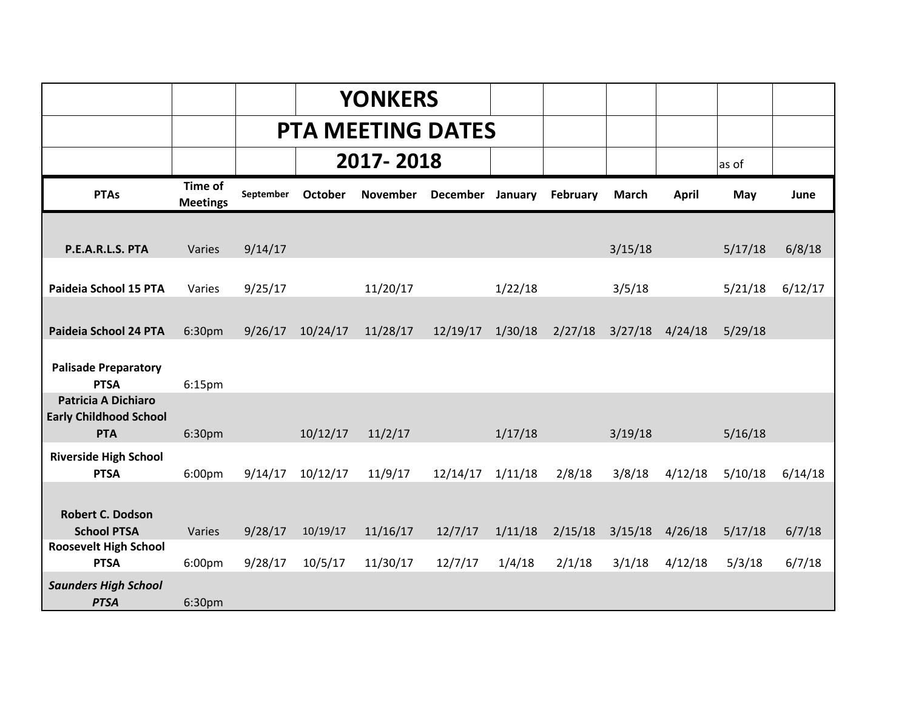|                                                                           |                            |           |                | <b>YONKERS</b>           |                  |         |          |              |                     |         |         |
|---------------------------------------------------------------------------|----------------------------|-----------|----------------|--------------------------|------------------|---------|----------|--------------|---------------------|---------|---------|
|                                                                           |                            |           |                | <b>PTA MEETING DATES</b> |                  |         |          |              |                     |         |         |
|                                                                           |                            |           |                | 2017-2018                |                  |         |          |              |                     | as of   |         |
| <b>PTAs</b>                                                               | Time of<br><b>Meetings</b> | September | <b>October</b> | November                 | December January |         | February | <b>March</b> | <b>April</b>        | May     | June    |
|                                                                           |                            |           |                |                          |                  |         |          |              |                     |         |         |
| P.E.A.R.L.S. PTA                                                          | Varies                     | 9/14/17   |                |                          |                  |         |          | 3/15/18      |                     | 5/17/18 | 6/8/18  |
| Paideia School 15 PTA                                                     | Varies                     | 9/25/17   |                | 11/20/17                 |                  | 1/22/18 |          | 3/5/18       |                     | 5/21/18 | 6/12/17 |
| Paideia School 24 PTA                                                     | 6:30pm                     | 9/26/17   | 10/24/17       | 11/28/17                 | 12/19/17         | 1/30/18 | 2/27/18  | 3/27/18      | 4/24/18             | 5/29/18 |         |
| <b>Palisade Preparatory</b><br><b>PTSA</b>                                | 6:15 <sub>pm</sub>         |           |                |                          |                  |         |          |              |                     |         |         |
| <b>Patricia A Dichiaro</b><br><b>Early Childhood School</b><br><b>PTA</b> | 6:30pm                     |           | 10/12/17       | 11/2/17                  |                  | 1/17/18 |          | 3/19/18      |                     | 5/16/18 |         |
| <b>Riverside High School</b><br><b>PTSA</b>                               | 6:00 <sub>pm</sub>         | 9/14/17   | 10/12/17       | 11/9/17                  | 12/14/17         | 1/11/18 | 2/8/18   | 3/8/18       | 4/12/18             | 5/10/18 | 6/14/18 |
| <b>Robert C. Dodson</b>                                                   |                            |           |                |                          |                  |         |          |              |                     |         |         |
| <b>School PTSA</b>                                                        | Varies                     | 9/28/17   | 10/19/17       | 11/16/17                 | 12/7/17          | 1/11/18 | 2/15/18  |              | $3/15/18$ $4/26/18$ | 5/17/18 | 6/7/18  |
| <b>Roosevelt High School</b><br><b>PTSA</b>                               | 6:00 <sub>pm</sub>         | 9/28/17   | 10/5/17        | 11/30/17                 | 12/7/17          | 1/4/18  | 2/1/18   | 3/1/18       | 4/12/18             | 5/3/18  | 6/7/18  |
| <b>Saunders High School</b><br><b>PTSA</b>                                | 6:30pm                     |           |                |                          |                  |         |          |              |                     |         |         |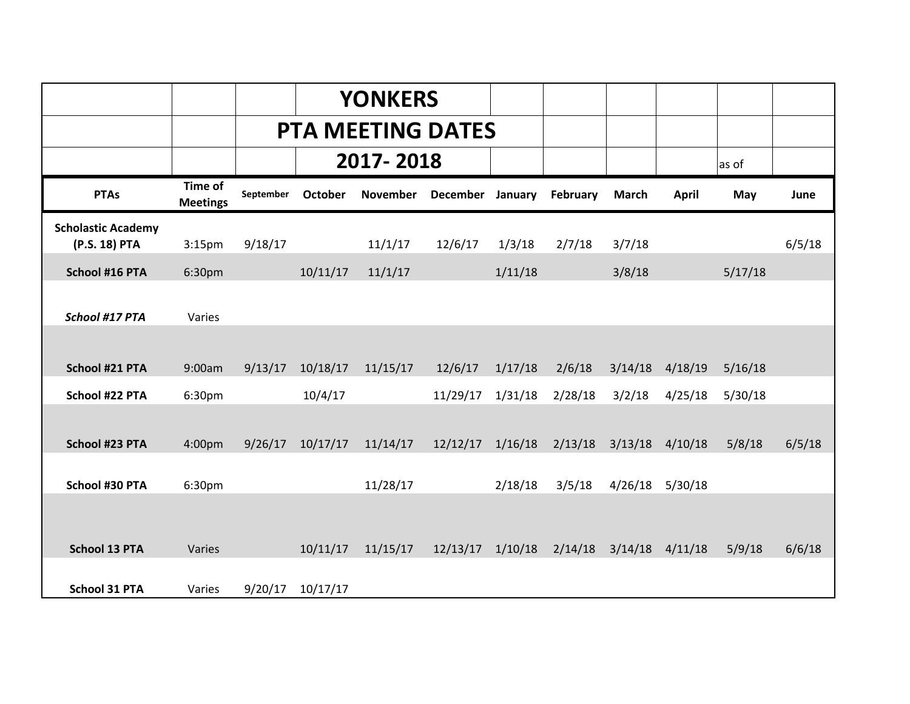|                                            |                            |                          |          | <b>YONKERS</b>  |                 |         |          |              |              |         |        |
|--------------------------------------------|----------------------------|--------------------------|----------|-----------------|-----------------|---------|----------|--------------|--------------|---------|--------|
|                                            |                            | <b>PTA MEETING DATES</b> |          |                 |                 |         |          |              |              |         |        |
|                                            |                            |                          |          | 2017-2018       |                 |         |          |              |              | as of   |        |
| <b>PTAs</b>                                | Time of<br><b>Meetings</b> | September                | October  | <b>November</b> | <b>December</b> | January | February | <b>March</b> | <b>April</b> | May     | June   |
| <b>Scholastic Academy</b><br>(P.S. 18) PTA | 3:15 <sub>pm</sub>         | 9/18/17                  |          | 11/1/17         | 12/6/17         | 1/3/18  | 2/7/18   | 3/7/18       |              |         | 6/5/18 |
| School #16 PTA                             | 6:30pm                     |                          | 10/11/17 | 11/1/17         |                 | 1/11/18 |          | 3/8/18       |              | 5/17/18 |        |
| School #17 PTA                             | Varies                     |                          |          |                 |                 |         |          |              |              |         |        |
|                                            |                            |                          |          |                 |                 |         |          |              |              |         |        |
| School #21 PTA                             | 9:00am                     | 9/13/17                  | 10/18/17 | 11/15/17        | 12/6/17         | 1/17/18 | 2/6/18   | 3/14/18      | 4/18/19      | 5/16/18 |        |
| School #22 PTA                             | 6:30pm                     |                          | 10/4/17  |                 | 11/29/17        | 1/31/18 | 2/28/18  | 3/2/18       | 4/25/18      | 5/30/18 |        |
| School #23 PTA                             | 4:00pm                     | 9/26/17                  | 10/17/17 | 11/14/17        | 12/12/17        | 1/16/18 | 2/13/18  | 3/13/18      | 4/10/18      | 5/8/18  | 6/5/18 |
| School #30 PTA                             | 6:30pm                     |                          |          | 11/28/17        |                 | 2/18/18 | 3/5/18   | 4/26/18      | 5/30/18      |         |        |
|                                            |                            |                          |          |                 |                 |         |          |              |              |         |        |
| <b>School 13 PTA</b>                       | Varies                     |                          | 10/11/17 | 11/15/17        | 12/13/17        | 1/10/18 | 2/14/18  | 3/14/18      | 4/11/18      | 5/9/18  | 6/6/18 |
| <b>School 31 PTA</b>                       | Varies                     | 9/20/17                  | 10/17/17 |                 |                 |         |          |              |              |         |        |